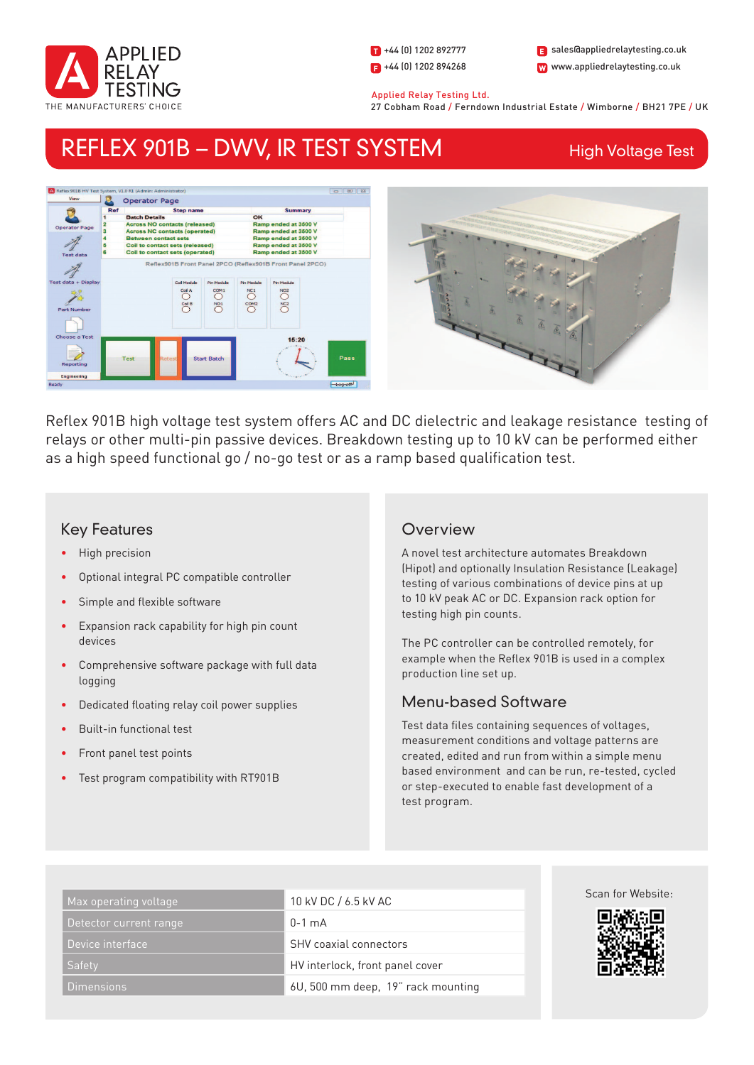

1 +44 (0) 1202 892777  $\blacksquare$  +44 (0) 1202 894268 W www.appliedrelaytesting.co.uk sales@appliedrelaytesting.co.uk

 Applied Relay Testing Ltd. 27 Cobham Road / Ferndown Industrial Estate / Wimborne / BH21 7PE / UK

# REFLEX 901B – DWV, IR TEST SYSTEM

High Voltage Test



Reflex 901B high voltage test system offers AC and DC dielectric and leakage resistance testing of relays or other multi-pin passive devices. Breakdown testing up to 10 kV can be performed either as a high speed functional go / no-go test or as a ramp based qualification test.

# Key Features

- High precision
- Optional integral PC compatible controller
- Simple and flexible software
- Expansion rack capability for high pin count devices
- Comprehensive software package with full data logging
- Dedicated floating relay coil power supplies
- Built-in functional test
- Front panel test points
- Test program compatibility with RT901B

# **Overview**

A novel test architecture automates Breakdown (Hipot) and optionally Insulation Resistance (Leakage) testing of various combinations of device pins at up to 10 kV peak AC or DC. Expansion rack option for testing high pin counts.

The PC controller can be controlled remotely, for example when the Reflex 901B is used in a complex production line set up.

# Menu-based Software

Test data files containing sequences of voltages, measurement conditions and voltage patterns are created, edited and run from within a simple menu based environment and can be run, re-tested, cycled or step-executed to enable fast development of a test program.

| Max operating voltage <sub>l</sub> | 10 kV DC / 6.5 kV AC               | Scan for Website: |
|------------------------------------|------------------------------------|-------------------|
| Detector current range             | $0-1$ mA                           | 興趣運               |
| Device interface                   | <b>SHV</b> coaxial connectors      |                   |
| <b>Safety</b>                      | HV interlock, front panel cover    |                   |
| Dimensions                         | 6U, 500 mm deep, 19" rack mounting |                   |